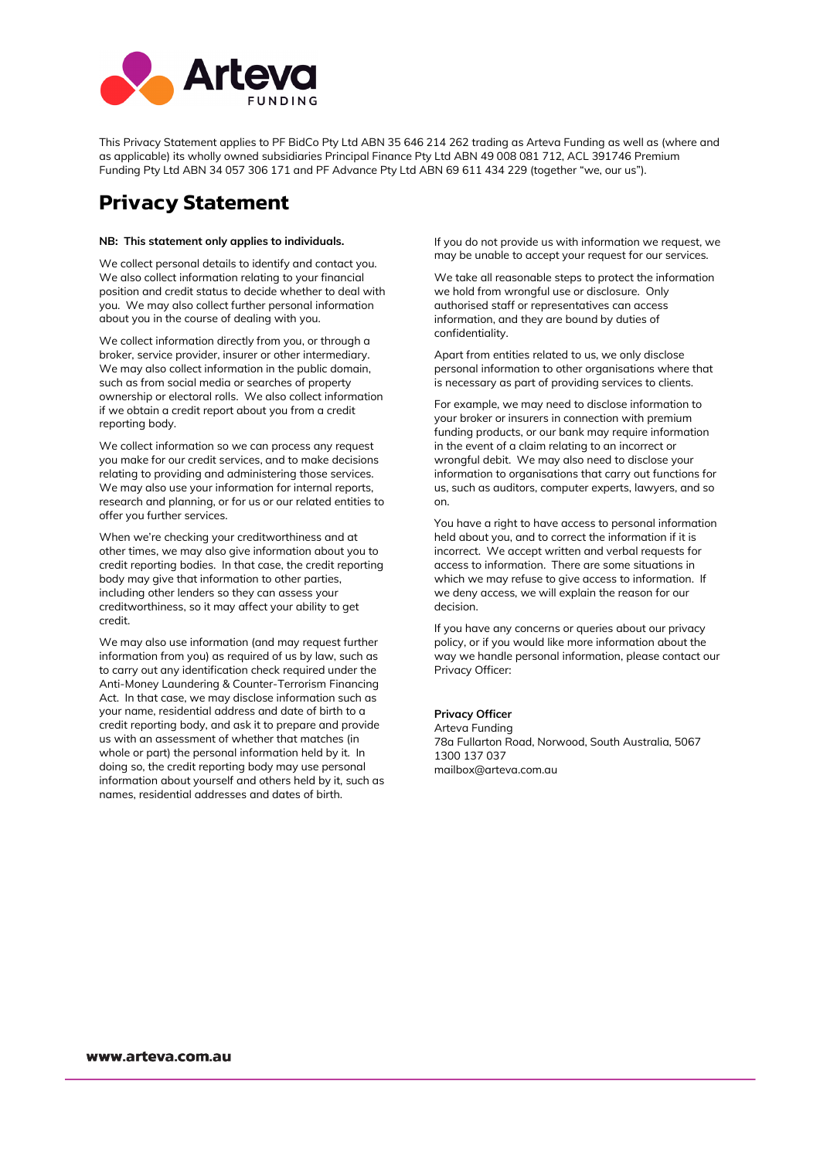

This Privacy Statement applies to PF BidCo Pty Ltd ABN 35 646 214 262 trading as Arteva Funding as well as (where and as applicable) its wholly owned subsidiaries Principal Finance Pty Ltd ABN 49 008 081 712, ACL 391746 Premium Funding Pty Ltd ABN 34 057 306 171 and PF Advance Pty Ltd ABN 69 611 434 229 (together "we, our us").

# **Privacy Statement**

#### **NB: This statement only applies to individuals.**

We collect personal details to identify and contact you. We also collect information relating to your financial position and credit status to decide whether to deal with you. We may also collect further personal information about you in the course of dealing with you.

We collect information directly from you, or through a broker, service provider, insurer or other intermediary. We may also collect information in the public domain, such as from social media or searches of property ownership or electoral rolls. We also collect information if we obtain a credit report about you from a credit reporting body.

We collect information so we can process any request you make for our credit services, and to make decisions relating to providing and administering those services. We may also use your information for internal reports, research and planning, or for us or our related entities to offer you further services.

When we're checking your creditworthiness and at other times, we may also give information about you to credit reporting bodies. In that case, the credit reporting body may give that information to other parties, including other lenders so they can assess your creditworthiness, so it may affect your ability to get credit.

We may also use information (and may request further information from you) as required of us by law, such as to carry out any identification check required under the Anti-Money Laundering & Counter-Terrorism Financing Act. In that case, we may disclose information such as your name, residential address and date of birth to a credit reporting body, and ask it to prepare and provide us with an assessment of whether that matches (in whole or part) the personal information held by it. In doing so, the credit reporting body may use personal information about yourself and others held by it, such as names, residential addresses and dates of birth.

If you do not provide us with information we request, we may be unable to accept your request for our services.

We take all reasonable steps to protect the information we hold from wrongful use or disclosure. Only authorised staff or representatives can access information, and they are bound by duties of confidentiality.

Apart from entities related to us, we only disclose personal information to other organisations where that is necessary as part of providing services to clients.

For example, we may need to disclose information to your broker or insurers in connection with premium funding products, or our bank may require information in the event of a claim relating to an incorrect or wrongful debit. We may also need to disclose your information to organisations that carry out functions for us, such as auditors, computer experts, lawyers, and so on.

You have a right to have access to personal information held about you, and to correct the information if it is incorrect. We accept written and verbal requests for access to information. There are some situations in which we may refuse to give access to information. If we deny access, we will explain the reason for our decision.

If you have any concerns or queries about our privacy policy, or if you would like more information about the way we handle personal information, please contact our Privacy Officer:

#### **Privacy Officer**

Arteva Funding 78a Fullarton Road, Norwood, South Australia, 5067 1300 137 037 mailbox@arteva.com.au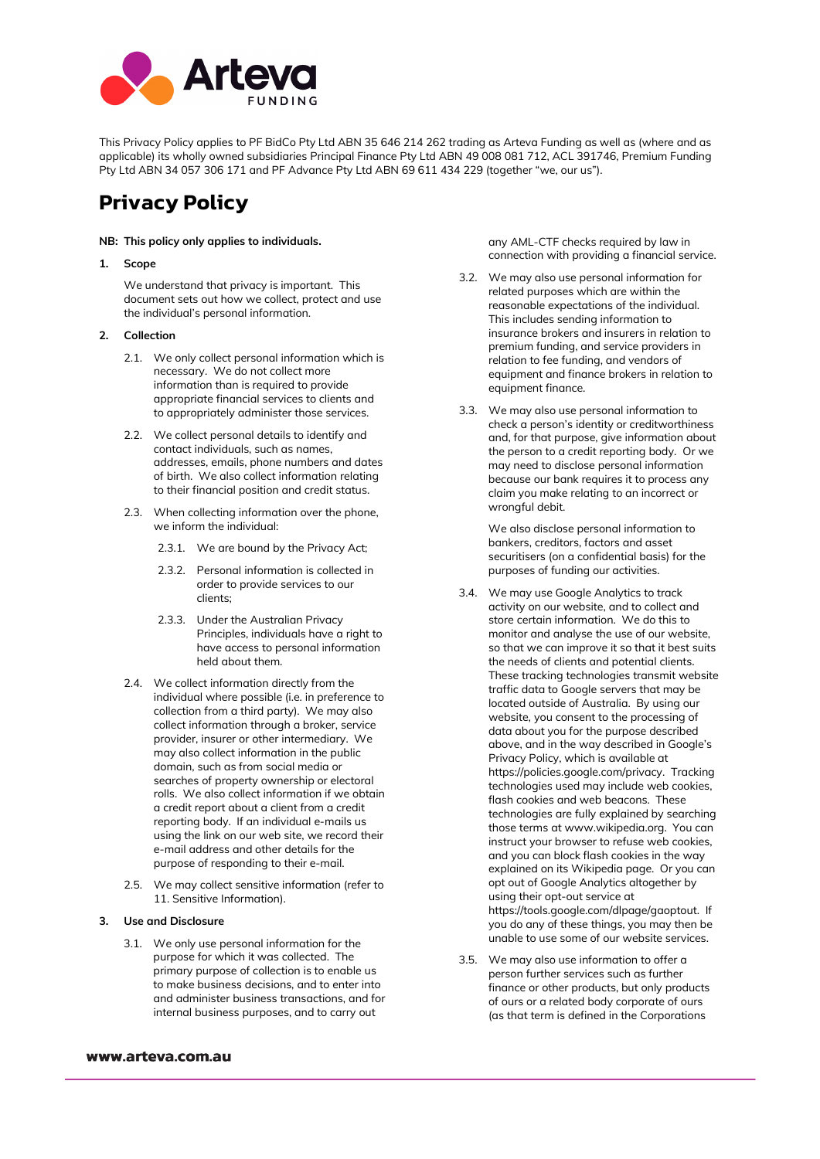

This Privacy Policy applies to PF BidCo Pty Ltd ABN 35 646 214 262 trading as Arteva Funding as well as (where and as applicable) its wholly owned subsidiaries Principal Finance Pty Ltd ABN 49 008 081 712, ACL 391746, Premium Funding Pty Ltd ABN 34 057 306 171 and PF Advance Pty Ltd ABN 69 611 434 229 (together "we, our us").

# **Privacy Policy**

#### **NB: This policy only applies to individuals.**

**1. Scope**

We understand that privacy is important. This document sets out how we collect, protect and use the individual's personal information.

- **2. Collection**
	- 2.1. We only collect personal information which is necessary. We do not collect more information than is required to provide appropriate financial services to clients and to appropriately administer those services.
	- 2.2. We collect personal details to identify and contact individuals, such as names, addresses, emails, phone numbers and dates of birth. We also collect information relating to their financial position and credit status.
	- 2.3. When collecting information over the phone, we inform the individual:
		- 2.3.1. We are bound by the Privacy Act;
		- 2.3.2. Personal information is collected in order to provide services to our clients;
		- 2.3.3. Under the Australian Privacy Principles, individuals have a right to have access to personal information held about them.
	- 2.4. We collect information directly from the individual where possible (i.e. in preference to collection from a third party). We may also collect information through a broker, service provider, insurer or other intermediary. We may also collect information in the public domain, such as from social media or searches of property ownership or electoral rolls. We also collect information if we obtain a credit report about a client from a credit reporting body. If an individual e-mails us using the link on our web site, we record their e-mail address and other details for the purpose of responding to their e-mail.
	- 2.5. We may collect sensitive information (refer to 11. Sensitive Information).
- **3. Use and Disclosure**
	- 3.1. We only use personal information for the purpose for which it was collected. The primary purpose of collection is to enable us to make business decisions, and to enter into and administer business transactions, and for internal business purposes, and to carry out

any AML-CTF checks required by law in connection with providing a financial service.

- 3.2. We may also use personal information for related purposes which are within the reasonable expectations of the individual. This includes sending information to insurance brokers and insurers in relation to premium funding, and service providers in relation to fee funding, and vendors of equipment and finance brokers in relation to equipment finance.
- 3.3. We may also use personal information to check a person's identity or creditworthiness and, for that purpose, give information about the person to a credit reporting body. Or we may need to disclose personal information because our bank requires it to process any claim you make relating to an incorrect or wrongful debit.

We also disclose personal information to bankers, creditors, factors and asset securitisers (on a confidential basis) for the purposes of funding our activities.

- 3.4. We may use Google Analytics to track activity on our website, and to collect and store certain information. We do this to monitor and analyse the use of our website, so that we can improve it so that it best suits the needs of clients and potential clients. These tracking technologies transmit website traffic data to Google servers that may be located outside of Australia. By using our website, you consent to the processing of data about you for the purpose described above, and in the way described in Google's Privacy Policy, which is available at https://policies.google.com/privacy. Tracking technologies used may include web cookies, flash cookies and web beacons. These technologies are fully explained by searching those terms at www.wikipedia.org. You can instruct your browser to refuse web cookies, and you can block flash cookies in the way explained on its Wikipedia page. Or you can opt out of Google Analytics altogether by using their opt-out service at https://tools.google.com/dlpage/gaoptout. If you do any of these things, you may then be unable to use some of our website services.
- 3.5. We may also use information to offer a person further services such as further finance or other products, but only products of ours or a related body corporate of ours (as that term is defined in the Corporations

## www.arteva.com.au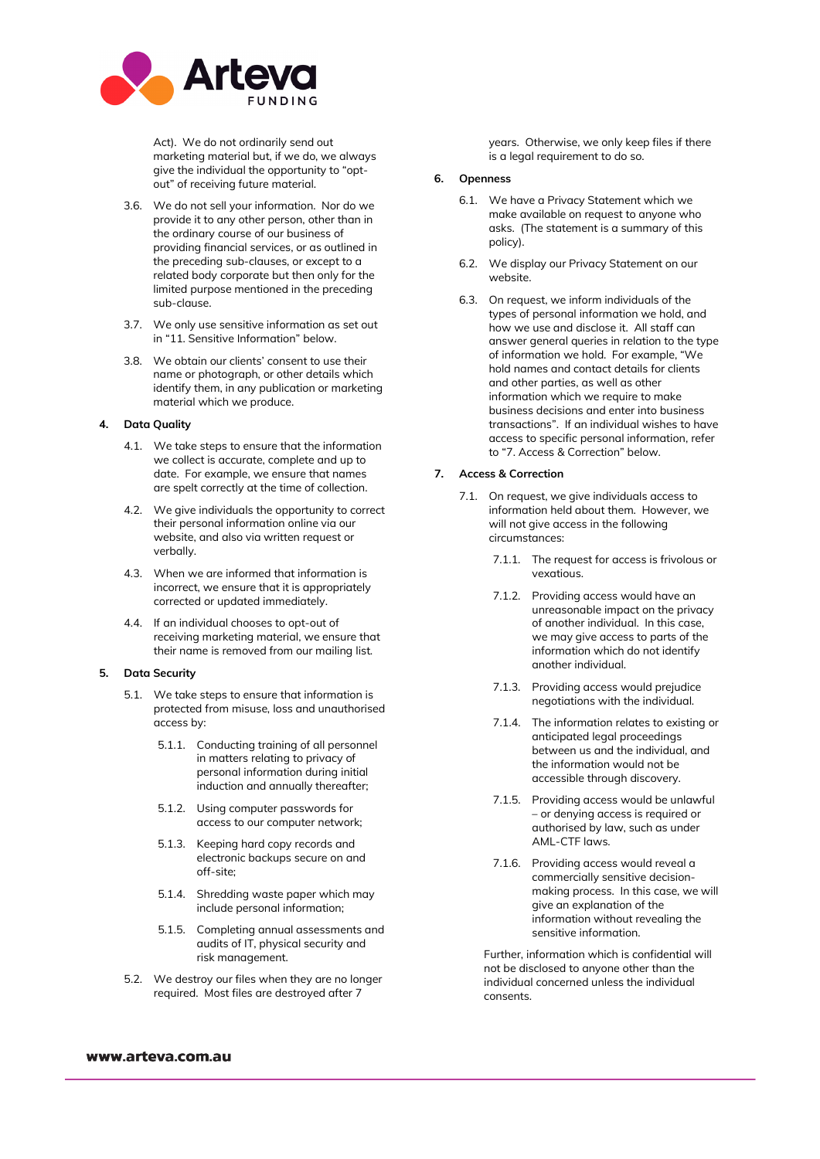

Act). We do not ordinarily send out marketing material but, if we do, we always give the individual the opportunity to "optout" of receiving future material.

- 3.6. We do not sell your information. Nor do we provide it to any other person, other than in the ordinary course of our business of providing financial services, or as outlined in the preceding sub-clauses, or except to a related body corporate but then only for the limited purpose mentioned in the preceding sub-clause.
- 3.7. We only use sensitive information as set out in "11. Sensitive Information" below.
- 3.8. We obtain our clients' consent to use their name or photograph, or other details which identify them, in any publication or marketing material which we produce.

#### **4. Data Quality**

- 4.1. We take steps to ensure that the information we collect is accurate, complete and up to date. For example, we ensure that names are spelt correctly at the time of collection.
- 4.2. We give individuals the opportunity to correct their personal information online via our website, and also via written request or verbally.
- 4.3. When we are informed that information is incorrect, we ensure that it is appropriately corrected or updated immediately.
- 4.4. If an individual chooses to opt-out of receiving marketing material, we ensure that their name is removed from our mailing list.

## **5. Data Security**

- 5.1. We take steps to ensure that information is protected from misuse, loss and unauthorised access by:
	- 5.1.1. Conducting training of all personnel in matters relating to privacy of personal information during initial induction and annually thereafter;
	- 5.1.2. Using computer passwords for access to our computer network;
	- 5.1.3. Keeping hard copy records and electronic backups secure on and off-site;
	- 5.1.4. Shredding waste paper which may include personal information;
	- 5.1.5. Completing annual assessments and audits of IT, physical security and risk management.
- 5.2. We destroy our files when they are no longer required. Most files are destroyed after 7

years. Otherwise, we only keep files if there is a legal requirement to do so.

#### **6. Openness**

- 6.1. We have a Privacy Statement which we make available on request to anyone who asks. (The statement is a summary of this policy).
- 6.2. We display our Privacy Statement on our website.
- 6.3. On request, we inform individuals of the types of personal information we hold, and how we use and disclose it. All staff can answer general queries in relation to the type of information we hold. For example, "We hold names and contact details for clients and other parties, as well as other information which we require to make business decisions and enter into business transactions". If an individual wishes to have access to specific personal information, refer to "7. Access & Correction" below.

## **7. Access & Correction**

- 7.1. On request, we give individuals access to information held about them. However, we will not give access in the following circumstances:
	- 7.1.1. The request for access is frivolous or vexatious.
	- 7.1.2. Providing access would have an unreasonable impact on the privacy of another individual. In this case, we may give access to parts of the information which do not identify another individual.
	- 7.1.3. Providing access would prejudice negotiations with the individual.
	- 7.1.4. The information relates to existing or anticipated legal proceedings between us and the individual, and the information would not be accessible through discovery.
	- 7.1.5. Providing access would be unlawful – or denying access is required or authorised by law, such as under AML-CTF laws.
	- 7.1.6. Providing access would reveal a commercially sensitive decisionmaking process. In this case, we will give an explanation of the information without revealing the sensitive information.

Further, information which is confidential will not be disclosed to anyone other than the individual concerned unless the individual consents.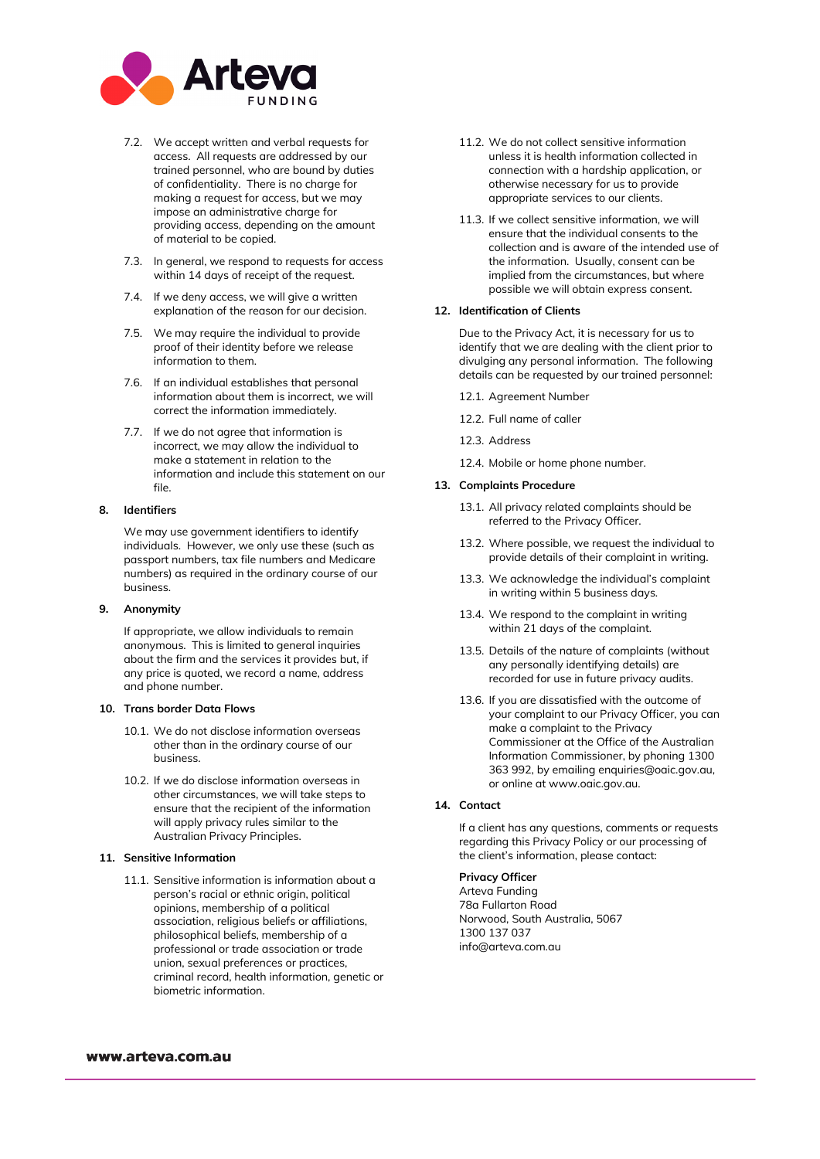

- 7.2. We accept written and verbal requests for access. All requests are addressed by our trained personnel, who are bound by duties of confidentiality. There is no charge for making a request for access, but we may impose an administrative charge for providing access, depending on the amount of material to be copied.
- 7.3. In general, we respond to requests for access within 14 days of receipt of the request.
- 7.4. If we deny access, we will give a written explanation of the reason for our decision.
- 7.5. We may require the individual to provide proof of their identity before we release information to them.
- 7.6. If an individual establishes that personal information about them is incorrect, we will correct the information immediately.
- 7.7. If we do not agree that information is incorrect, we may allow the individual to make a statement in relation to the information and include this statement on our file.

### **8. Identifiers**

We may use government identifiers to identify individuals. However, we only use these (such as passport numbers, tax file numbers and Medicare numbers) as required in the ordinary course of our business.

#### **9. Anonymity**

If appropriate, we allow individuals to remain anonymous. This is limited to general inquiries about the firm and the services it provides but, if any price is quoted, we record a name, address and phone number.

#### **10. Trans border Data Flows**

- 10.1. We do not disclose information overseas other than in the ordinary course of our business.
- 10.2. If we do disclose information overseas in other circumstances, we will take steps to ensure that the recipient of the information will apply privacy rules similar to the Australian Privacy Principles.

### **11. Sensitive Information**

11.1. Sensitive information is information about a person's racial or ethnic origin, political opinions, membership of a political association, religious beliefs or affiliations, philosophical beliefs, membership of a professional or trade association or trade union, sexual preferences or practices, criminal record, health information, genetic or biometric information.

- 11.2. We do not collect sensitive information unless it is health information collected in connection with a hardship application, or otherwise necessary for us to provide appropriate services to our clients.
- 11.3. If we collect sensitive information, we will ensure that the individual consents to the collection and is aware of the intended use of the information. Usually, consent can be implied from the circumstances, but where possible we will obtain express consent.

#### **12. Identification of Clients**

Due to the Privacy Act, it is necessary for us to identify that we are dealing with the client prior to divulging any personal information. The following details can be requested by our trained personnel:

- 12.1. Agreement Number
- 12.2. Full name of caller
- 12.3. Address
- 12.4. Mobile or home phone number.

#### **13. Complaints Procedure**

- 13.1. All privacy related complaints should be referred to the Privacy Officer.
- 13.2. Where possible, we request the individual to provide details of their complaint in writing.
- 13.3. We acknowledge the individual's complaint in writing within 5 business days.
- 13.4. We respond to the complaint in writing within 21 days of the complaint.
- 13.5. Details of the nature of complaints (without any personally identifying details) are recorded for use in future privacy audits.
- 13.6. If you are dissatisfied with the outcome of your complaint to our Privacy Officer, you can make a complaint to the Privacy Commissioner at the Office of the Australian Information Commissioner, by phoning 1300 363 992, by emailing [enquiries@oaic.gov.au,](mailto:enquiries@oaic.gov.au) or online a[t www.oaic.gov.au.](http://www.oaic.gov.au/)

## **14. Contact**

If a client has any questions, comments or requests regarding this Privacy Policy or our processing of the client's information, please contact:

## **Privacy Officer**

Arteva Funding 78a Fullarton Road Norwood, South Australia, 5067 1300 137 037 info@arteva.com.au